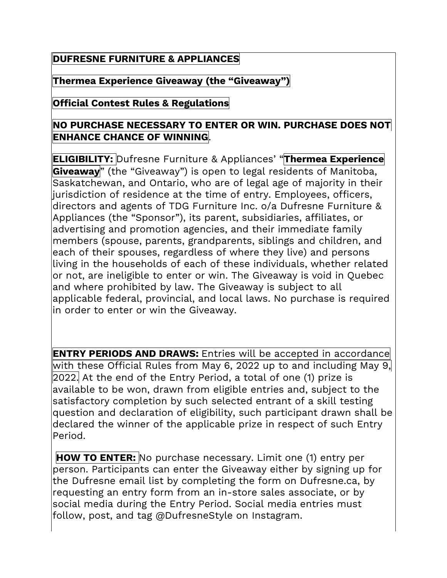## **DUFRESNE FURNITURE & APPLIANCES**

**Thermea Experience Giveaway (the "Giveaway")**

## **Official Contest Rules & Regulations**

## **NO PURCHASE NECESSARY TO ENTER OR WIN. PURCHASE DOES NOT ENHANCE CHANCE OF WINNING**.

**ELIGIBILITY:** Dufresne Furniture & Appliances' "**Thermea Experience Giveaway**" (the "Giveaway") is open to legal residents of Manitoba, Saskatchewan, and Ontario, who are of legal age of majority in their jurisdiction of residence at the time of entry. Employees, officers, directors and agents of TDG Furniture Inc. o/a Dufresne Furniture & Appliances (the "Sponsor"), its parent, subsidiaries, affiliates, or advertising and promotion agencies, and their immediate family members (spouse, parents, grandparents, siblings and children, and each of their spouses, regardless of where they live) and persons living in the households of each of these individuals, whether related or not, are ineligible to enter or win. The Giveaway is void in Quebec and where prohibited by law. The Giveaway is subject to all applicable federal, provincial, and local laws. No purchase is required in order to enter or win the Giveaway.

**ENTRY PERIODS AND DRAWS:** Entries will be accepted in accordance with these Official Rules from May 6, 2022 up to and including May 9, 2022. At the end of the Entry Period, a total of one (1) prize is available to be won, drawn from eligible entries and, subject to the satisfactory completion by such selected entrant of a skill testing question and declaration of eligibility, such participant drawn shall be declared the winner of the applicable prize in respect of such Entry Period.

**HOW TO ENTER:** No purchase necessary. Limit one (1) entry per person. Participants can enter the Giveaway either by signing up for the Dufresne email list by completing the form on Dufresne.ca, by requesting an entry form from an in-store sales associate, or by social media during the Entry Period. Social media entries must follow, post, and tag @DufresneStyle on Instagram.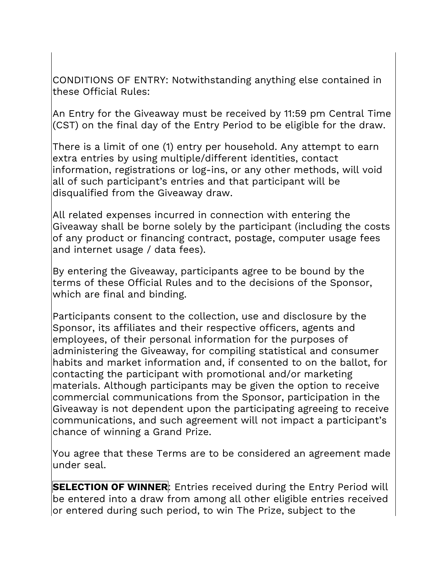CONDITIONS OF ENTRY: Notwithstanding anything else contained in these Official Rules:

An Entry for the Giveaway must be received by 11:59 pm Central Time (CST) on the final day of the Entry Period to be eligible for the draw.

There is a limit of one (1) entry per household. Any attempt to earn extra entries by using multiple/different identities, contact information, registrations or log-ins, or any other methods, will void all of such participant's entries and that participant will be disqualified from the Giveaway draw.

All related expenses incurred in connection with entering the Giveaway shall be borne solely by the participant (including the costs of any product or financing contract, postage, computer usage fees and internet usage / data fees).

By entering the Giveaway, participants agree to be bound by the terms of these Official Rules and to the decisions of the Sponsor, which are final and binding.

Participants consent to the collection, use and disclosure by the Sponsor, its affiliates and their respective officers, agents and employees, of their personal information for the purposes of administering the Giveaway, for compiling statistical and consumer habits and market information and, if consented to on the ballot, for contacting the participant with promotional and/or marketing materials. Although participants may be given the option to receive commercial communications from the Sponsor, participation in the Giveaway is not dependent upon the participating agreeing to receive communications, and such agreement will not impact a participant's chance of winning a Grand Prize.

You agree that these Terms are to be considered an agreement made under seal.

**SELECTION OF WINNER**: Entries received during the Entry Period will be entered into a draw from among all other eligible entries received or entered during such period, to win The Prize, subject to the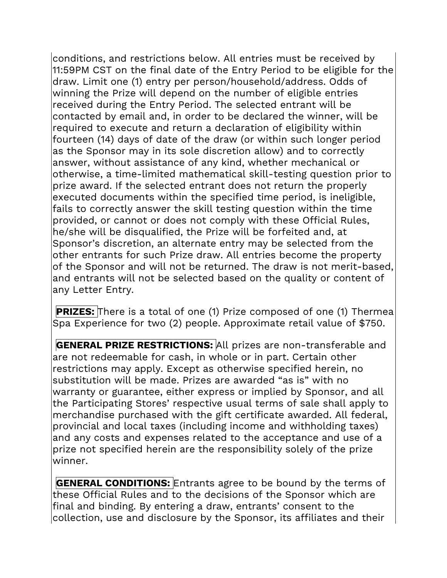conditions, and restrictions below. All entries must be received by 11:59PM CST on the final date of the Entry Period to be eligible for the draw. Limit one (1) entry per person/household/address. Odds of winning the Prize will depend on the number of eligible entries received during the Entry Period. The selected entrant will be contacted by email and, in order to be declared the winner, will be required to execute and return a declaration of eligibility within fourteen (14) days of date of the draw (or within such longer period as the Sponsor may in its sole discretion allow) and to correctly answer, without assistance of any kind, whether mechanical or otherwise, a time-limited mathematical skill-testing question prior to prize award. If the selected entrant does not return the properly executed documents within the specified time period, is ineligible, fails to correctly answer the skill testing question within the time provided, or cannot or does not comply with these Official Rules, he/she will be disqualified, the Prize will be forfeited and, at Sponsor's discretion, an alternate entry may be selected from the other entrants for such Prize draw. All entries become the property of the Sponsor and will not be returned. The draw is not merit-based, and entrants will not be selected based on the quality or content of any Letter Entry.

**PRIZES:** There is a total of one (1) Prize composed of one (1) Thermea Spa Experience for two (2) people. Approximate retail value of \$750.

**GENERAL PRIZE RESTRICTIONS:** All prizes are non-transferable and are not redeemable for cash, in whole or in part. Certain other restrictions may apply. Except as otherwise specified herein, no substitution will be made. Prizes are awarded "as is" with no warranty or guarantee, either express or implied by Sponsor, and all the Participating Stores' respective usual terms of sale shall apply to merchandise purchased with the gift certificate awarded. All federal, provincial and local taxes (including income and withholding taxes) and any costs and expenses related to the acceptance and use of a prize not specified herein are the responsibility solely of the prize winner.

**GENERAL CONDITIONS:** Entrants agree to be bound by the terms of these Official Rules and to the decisions of the Sponsor which are final and binding. By entering a draw, entrants' consent to the collection, use and disclosure by the Sponsor, its affiliates and their